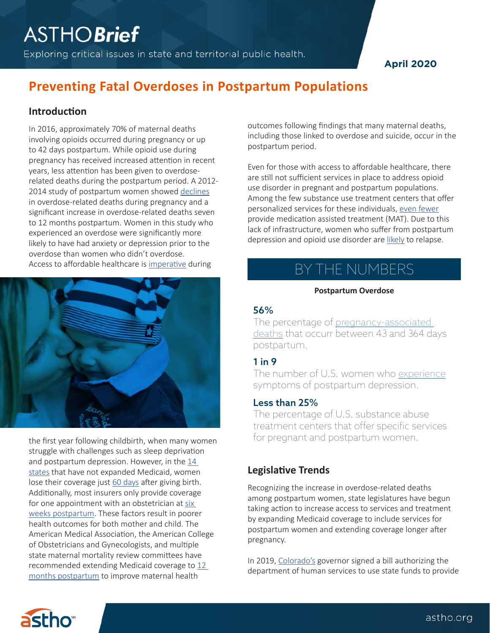Exploring critical issues in state and territorial public health.

## **April 2020**

## **Preventing Fatal Overdoses in Postpartum Populations**

## **Introduction**

In 2016, approximately 70% of maternal deaths involving opioids occurred during pregnancy or up to 42 days postpartum. While opioid use during pregnancy has received increased attention in recent years, less attention has been given to overdoserelated deaths during the postpartum period. A 2012- 2014 study of postpartum women showed [declines](https://pubmed.ncbi.nlm.nih.gov/29995730-fatal-and-nonfatal-overdose-among-pregnant-and-postpartum-women-in-massachusetts) in overdose-related deaths during pregnancy and a significant increase in overdose-related deaths seven to 12 months postpartum. Women in this study who experienced an overdose were significantly more likely to have had anxiety or depression prior to the overdose than women who didn't overdose. Access to affordable healthcare is [imperative](https://www.healthaffairs.org/do/10.1377/hblog20200203.639479/full/) during



the first year following childbirth, when many women struggle with challenges such as sleep deprivation and postpartum depression. However, in the [14](https://www.kff.org/health-reform/state-indicator/state-activity-around-expanding-medicaid-under-the-affordable-care-act/?currentTimeframe=0&sortModel=%7B%22colId%22:%22Location%22,%22sort%22:%22asc%22%7D.)  [states](https://www.kff.org/health-reform/state-indicator/state-activity-around-expanding-medicaid-under-the-affordable-care-act/?currentTimeframe=0&sortModel=%7B%22colId%22:%22Location%22,%22sort%22:%22asc%22%7D.) that have not expanded Medicaid, women lose their coverage just [60 days](https://healthlaw.org/wp-content/uploads/2018/09/QA-on-Pregnant-Women’s-Coverage.pdf) after giving birth. Additionally, most insurers only provide coverage for one appointment with an obstetrician at [six](https://www.pewtrusts.org/en/research-and-analysis/blogs/stateline/2018/08/14/for-addicted-women-the-year-after-childbirth-is-the-deadliest.)  [weeks postpartum.](https://www.pewtrusts.org/en/research-and-analysis/blogs/stateline/2018/08/14/for-addicted-women-the-year-after-childbirth-is-the-deadliest.) These factors result in poorer health outcomes for both mother and child. The American Medical Association, the American College of Obstetricians and Gynecologists, and multiple state maternal mortality review committees have recommended extending Medicaid coverage to [12](https://www.acog.org/About-ACOG/News-Room/Statements/2019/AMA-Support-for-12-Months-Postpartum-Medicaid-Coverage?IsMobileSet=false)  [months postpartum](https://www.acog.org/About-ACOG/News-Room/Statements/2019/AMA-Support-for-12-Months-Postpartum-Medicaid-Coverage?IsMobileSet=false) to improve maternal health

outcomes following findings that many maternal deaths, including those linked to overdose and suicide, occur in the postpartum period.

Even for those with access to affordable healthcare, there are still not sufficient services in place to address opioid use disorder in pregnant and postpartum populations. Among the few substance use treatment centers that offer personalized services for these individuals, [even fewer](https://www.vice.com/en_us/article/bjwjvq/opioid-overdose-deaths-go-way-up-for-new-moms-after-childbirth-heres-why) provide medication assisted treatment (MAT). Due to this lack of infrastructure, women who suffer from postpartum depression and opioid use disorder are [likely](https://www.acog.org/Clinical-Guidance-and-Publications/Committee-Opinions/Committee-on-Obstetric-Practice/Opioid-Use-and-Opioid-Use-Disorder-in-Pregnancy?IsMobileSet=false.) to relapse.

# BY THE NUMBERS

#### **Postpartum Overdose**

#### 56%

The percentage of pregnancy-associated [deaths](https://reviewtoaction.org/sites/default/files/portal_resources/MaternalMorbidity_MortalityReport_2018.pdf) that occurr between 43 and 364 days postpartum.

#### 1 in 9

The number of U.S. women who [experience](https://www.cdc.gov/mmwr/volumes/66/wr/mm6606a1.htm?s_cid=mm6606a1_w) symptoms of postpartum depression.

#### Less than 25%

The percentage of U.S. substance abuse treatment centers that offer specific services for pregnant and postpartum women.

## **Legislative Trends**

Recognizing the increase in overdose-related deaths among postpartum women, state legislatures have begun taking action to increase access to services and treatment by expanding Medicaid coverage to include services for postpartum women and extending coverage longer after pregnancy.

In 2019, [Colorado's](http://leg.colorado.gov/bills/hb19-1193) governor signed a bill authorizing the department of human services to use state funds to provide